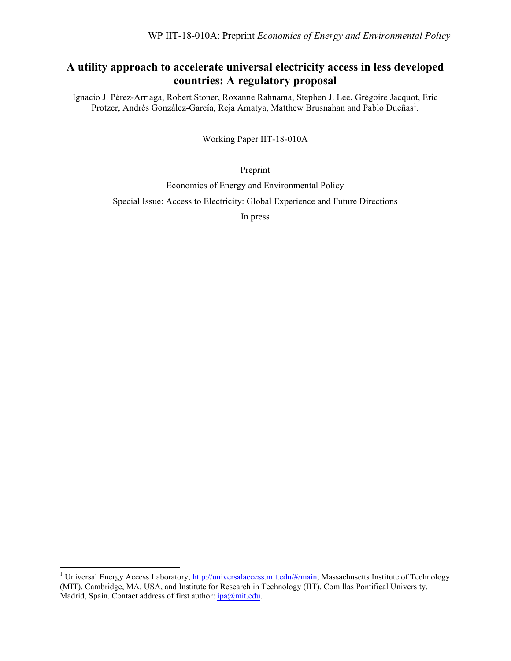# **A utility approach to accelerate universal electricity access in less developed countries: A regulatory proposal**

Ignacio J. Pérez-Arriaga, Robert Stoner, Roxanne Rahnama, Stephen J. Lee, Grégoire Jacquot, Eric Protzer, Andrés González-García, Reja Amatya, Matthew Brusnahan and Pablo Dueñas<sup>1</sup>.

Working Paper IIT-18-010A

Preprint Economics of Energy and Environmental Policy Special Issue: Access to Electricity: Global Experience and Future Directions In press

<sup>&</sup>lt;sup>1</sup> Universal Energy Access Laboratory, http://universalaccess.mit.edu/#/main, Massachusetts Institute of Technology (MIT), Cambridge, MA, USA, and Institute for Research in Technology (IIT), Comillas Pontifical University, Madrid, Spain. Contact address of first author: ipa@mit.edu.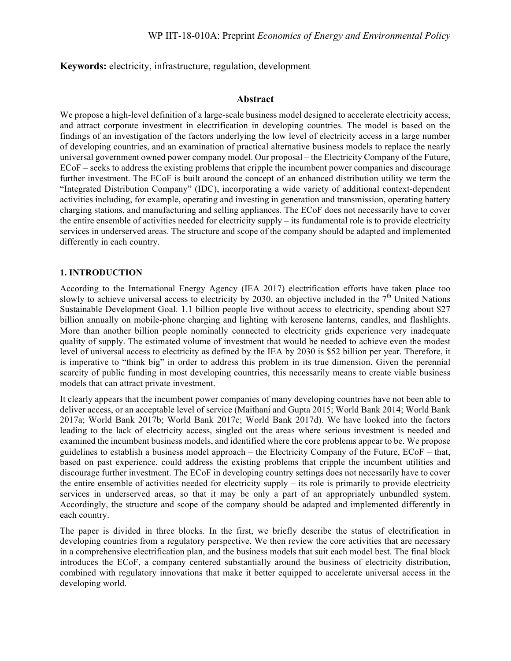## **Keywords:** electricity, infrastructure, regulation, development

#### **Abstract**

We propose a high-level definition of a large-scale business model designed to accelerate electricity access, and attract corporate investment in electrification in developing countries. The model is based on the findings of an investigation of the factors underlying the low level of electricity access in a large number of developing countries, and an examination of practical alternative business models to replace the nearly universal government owned power company model. Our proposal – the Electricity Company of the Future, ECoF – seeks to address the existing problems that cripple the incumbent power companies and discourage further investment. The ECoF is built around the concept of an enhanced distribution utility we term the "Integrated Distribution Company" (IDC), incorporating a wide variety of additional context-dependent activities including, for example, operating and investing in generation and transmission, operating battery charging stations, and manufacturing and selling appliances. The ECoF does not necessarily have to cover the entire ensemble of activities needed for electricity supply – its fundamental role is to provide electricity services in underserved areas. The structure and scope of the company should be adapted and implemented differently in each country.

#### **1. INTRODUCTION**

According to the International Energy Agency (IEA 2017) electrification efforts have taken place too slowly to achieve universal access to electricity by 2030, an objective included in the  $7<sup>th</sup>$  United Nations Sustainable Development Goal. 1.1 billion people live without access to electricity, spending about \$27 billion annually on mobile-phone charging and lighting with kerosene lanterns, candles, and flashlights. More than another billion people nominally connected to electricity grids experience very inadequate quality of supply. The estimated volume of investment that would be needed to achieve even the modest level of universal access to electricity as defined by the IEA by 2030 is \$52 billion per year. Therefore, it is imperative to "think big" in order to address this problem in its true dimension. Given the perennial scarcity of public funding in most developing countries, this necessarily means to create viable business models that can attract private investment.

It clearly appears that the incumbent power companies of many developing countries have not been able to deliver access, or an acceptable level of service (Maithani and Gupta 2015; World Bank 2014; World Bank 2017a; World Bank 2017b; World Bank 2017c; World Bank 2017d). We have looked into the factors leading to the lack of electricity access, singled out the areas where serious investment is needed and examined the incumbent business models, and identified where the core problems appear to be. We propose guidelines to establish a business model approach – the Electricity Company of the Future, ECoF – that, based on past experience, could address the existing problems that cripple the incumbent utilities and discourage further investment. The ECoF in developing country settings does not necessarily have to cover the entire ensemble of activities needed for electricity supply – its role is primarily to provide electricity services in underserved areas, so that it may be only a part of an appropriately unbundled system. Accordingly, the structure and scope of the company should be adapted and implemented differently in each country.

The paper is divided in three blocks. In the first, we briefly describe the status of electrification in developing countries from a regulatory perspective. We then review the core activities that are necessary in a comprehensive electrification plan, and the business models that suit each model best. The final block introduces the ECoF, a company centered substantially around the business of electricity distribution, combined with regulatory innovations that make it better equipped to accelerate universal access in the developing world.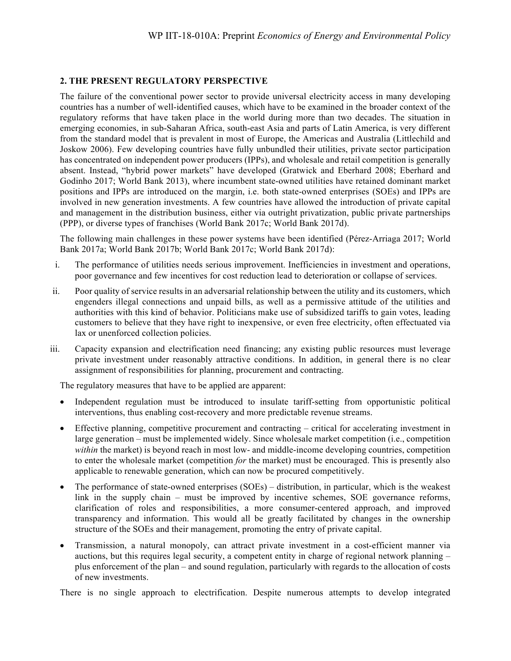## **2. THE PRESENT REGULATORY PERSPECTIVE**

The failure of the conventional power sector to provide universal electricity access in many developing countries has a number of well-identified causes, which have to be examined in the broader context of the regulatory reforms that have taken place in the world during more than two decades. The situation in emerging economies, in sub-Saharan Africa, south-east Asia and parts of Latin America, is very different from the standard model that is prevalent in most of Europe, the Americas and Australia (Littlechild and Joskow 2006). Few developing countries have fully unbundled their utilities, private sector participation has concentrated on independent power producers (IPPs), and wholesale and retail competition is generally absent. Instead, "hybrid power markets" have developed (Gratwick and Eberhard 2008; Eberhard and Godinho 2017; World Bank 2013), where incumbent state-owned utilities have retained dominant market positions and IPPs are introduced on the margin, i.e. both state-owned enterprises (SOEs) and IPPs are involved in new generation investments. A few countries have allowed the introduction of private capital and management in the distribution business, either via outright privatization, public private partnerships (PPP), or diverse types of franchises (World Bank 2017c; World Bank 2017d).

The following main challenges in these power systems have been identified (Pérez-Arriaga 2017; World Bank 2017a; World Bank 2017b; World Bank 2017c; World Bank 2017d):

- i. The performance of utilities needs serious improvement. Inefficiencies in investment and operations, poor governance and few incentives for cost reduction lead to deterioration or collapse of services.
- ii. Poor quality of service results in an adversarial relationship between the utility and its customers, which engenders illegal connections and unpaid bills, as well as a permissive attitude of the utilities and authorities with this kind of behavior. Politicians make use of subsidized tariffs to gain votes, leading customers to believe that they have right to inexpensive, or even free electricity, often effectuated via lax or unenforced collection policies.
- iii. Capacity expansion and electrification need financing; any existing public resources must leverage private investment under reasonably attractive conditions. In addition, in general there is no clear assignment of responsibilities for planning, procurement and contracting.

The regulatory measures that have to be applied are apparent:

- Independent regulation must be introduced to insulate tariff-setting from opportunistic political interventions, thus enabling cost-recovery and more predictable revenue streams.
- Effective planning, competitive procurement and contracting critical for accelerating investment in large generation – must be implemented widely. Since wholesale market competition (i.e., competition *within* the market) is beyond reach in most low- and middle-income developing countries, competition to enter the wholesale market (competition *for* the market) must be encouraged. This is presently also applicable to renewable generation, which can now be procured competitively.
- The performance of state-owned enterprises (SOEs) distribution, in particular, which is the weakest link in the supply chain – must be improved by incentive schemes, SOE governance reforms, clarification of roles and responsibilities, a more consumer-centered approach, and improved transparency and information. This would all be greatly facilitated by changes in the ownership structure of the SOEs and their management, promoting the entry of private capital.
- Transmission, a natural monopoly, can attract private investment in a cost-efficient manner via auctions, but this requires legal security, a competent entity in charge of regional network planning – plus enforcement of the plan – and sound regulation, particularly with regards to the allocation of costs of new investments.

There is no single approach to electrification. Despite numerous attempts to develop integrated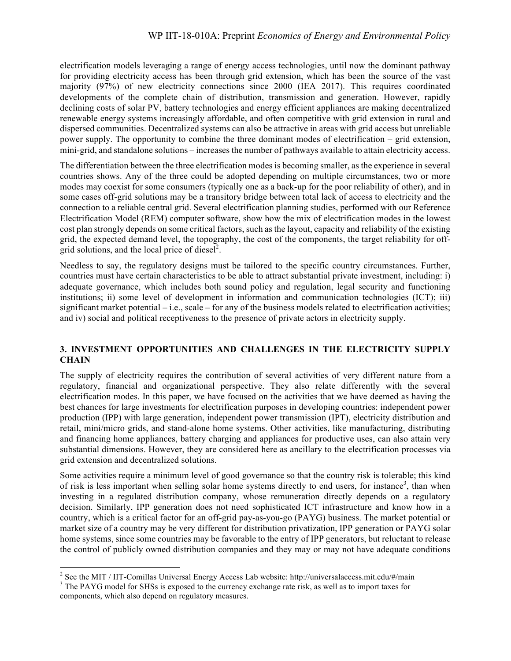electrification models leveraging a range of energy access technologies, until now the dominant pathway for providing electricity access has been through grid extension, which has been the source of the vast majority (97%) of new electricity connections since 2000 (IEA 2017). This requires coordinated developments of the complete chain of distribution, transmission and generation. However, rapidly declining costs of solar PV, battery technologies and energy efficient appliances are making decentralized renewable energy systems increasingly affordable, and often competitive with grid extension in rural and dispersed communities. Decentralized systems can also be attractive in areas with grid access but unreliable power supply. The opportunity to combine the three dominant modes of electrification – grid extension, mini-grid, and standalone solutions – increases the number of pathways available to attain electricity access.

The differentiation between the three electrification modes is becoming smaller, as the experience in several countries shows. Any of the three could be adopted depending on multiple circumstances, two or more modes may coexist for some consumers (typically one as a back-up for the poor reliability of other), and in some cases off-grid solutions may be a transitory bridge between total lack of access to electricity and the connection to a reliable central grid. Several electrification planning studies, performed with our Reference Electrification Model (REM) computer software, show how the mix of electrification modes in the lowest cost plan strongly depends on some critical factors, such as the layout, capacity and reliability of the existing grid, the expected demand level, the topography, the cost of the components, the target reliability for offgrid solutions, and the local price of diesel<sup>2</sup>.

Needless to say, the regulatory designs must be tailored to the specific country circumstances. Further, countries must have certain characteristics to be able to attract substantial private investment, including: i) adequate governance, which includes both sound policy and regulation, legal security and functioning institutions; ii) some level of development in information and communication technologies (ICT); iii) significant market potential – i.e., scale – for any of the business models related to electrification activities; and iv) social and political receptiveness to the presence of private actors in electricity supply.

# **3. INVESTMENT OPPORTUNITIES AND CHALLENGES IN THE ELECTRICITY SUPPLY CHAIN**

The supply of electricity requires the contribution of several activities of very different nature from a regulatory, financial and organizational perspective. They also relate differently with the several electrification modes. In this paper, we have focused on the activities that we have deemed as having the best chances for large investments for electrification purposes in developing countries: independent power production (IPP) with large generation, independent power transmission (IPT), electricity distribution and retail, mini/micro grids, and stand-alone home systems. Other activities, like manufacturing, distributing and financing home appliances, battery charging and appliances for productive uses, can also attain very substantial dimensions. However, they are considered here as ancillary to the electrification processes via grid extension and decentralized solutions.

Some activities require a minimum level of good governance so that the country risk is tolerable; this kind of risk is less important when selling solar home systems directly to end users, for instance<sup>3</sup>, than when investing in a regulated distribution company, whose remuneration directly depends on a regulatory decision. Similarly, IPP generation does not need sophisticated ICT infrastructure and know how in a country, which is a critical factor for an off-grid pay-as-you-go (PAYG) business. The market potential or market size of a country may be very different for distribution privatization, IPP generation or PAYG solar home systems, since some countries may be favorable to the entry of IPP generators, but reluctant to release the control of publicly owned distribution companies and they may or may not have adequate conditions

<sup>&</sup>lt;sup>2</sup> See the MIT / IIT-Comillas Universal Energy Access Lab website: http://universalaccess.mit.edu/#/main  $3$  The PAYG model for SHSs is exposed to the currency exchange rate risk, as well as to import taxes for

components, which also depend on regulatory measures.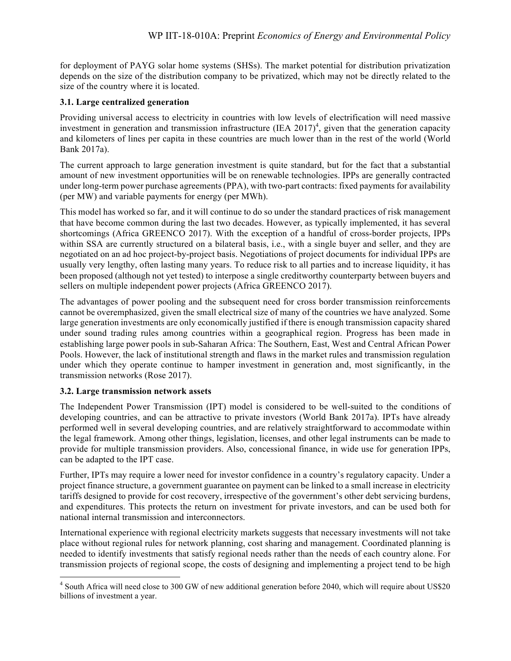for deployment of PAYG solar home systems (SHSs). The market potential for distribution privatization depends on the size of the distribution company to be privatized, which may not be directly related to the size of the country where it is located.

## **3.1. Large centralized generation**

Providing universal access to electricity in countries with low levels of electrification will need massive investment in generation and transmission infrastructure (IEA  $2017$ )<sup>4</sup>, given that the generation capacity and kilometers of lines per capita in these countries are much lower than in the rest of the world (World Bank 2017a).

The current approach to large generation investment is quite standard, but for the fact that a substantial amount of new investment opportunities will be on renewable technologies. IPPs are generally contracted under long-term power purchase agreements (PPA), with two-part contracts: fixed payments for availability (per MW) and variable payments for energy (per MWh).

This model has worked so far, and it will continue to do so under the standard practices of risk management that have become common during the last two decades. However, as typically implemented, it has several shortcomings (Africa GREENCO 2017). With the exception of a handful of cross-border projects, IPPs within SSA are currently structured on a bilateral basis, i.e., with a single buyer and seller, and they are negotiated on an ad hoc project-by-project basis. Negotiations of project documents for individual IPPs are usually very lengthy, often lasting many years. To reduce risk to all parties and to increase liquidity, it has been proposed (although not yet tested) to interpose a single creditworthy counterparty between buyers and sellers on multiple independent power projects (Africa GREENCO 2017).

The advantages of power pooling and the subsequent need for cross border transmission reinforcements cannot be overemphasized, given the small electrical size of many of the countries we have analyzed. Some large generation investments are only economically justified if there is enough transmission capacity shared under sound trading rules among countries within a geographical region. Progress has been made in establishing large power pools in sub-Saharan Africa: The Southern, East, West and Central African Power Pools. However, the lack of institutional strength and flaws in the market rules and transmission regulation under which they operate continue to hamper investment in generation and, most significantly, in the transmission networks (Rose 2017).

#### **3.2. Large transmission network assets**

The Independent Power Transmission (IPT) model is considered to be well-suited to the conditions of developing countries, and can be attractive to private investors (World Bank 2017a). IPTs have already performed well in several developing countries, and are relatively straightforward to accommodate within the legal framework. Among other things, legislation, licenses, and other legal instruments can be made to provide for multiple transmission providers. Also, concessional finance, in wide use for generation IPPs, can be adapted to the IPT case.

Further, IPTs may require a lower need for investor confidence in a country's regulatory capacity. Under a project finance structure, a government guarantee on payment can be linked to a small increase in electricity tariffs designed to provide for cost recovery, irrespective of the government's other debt servicing burdens, and expenditures. This protects the return on investment for private investors, and can be used both for national internal transmission and interconnectors.

International experience with regional electricity markets suggests that necessary investments will not take place without regional rules for network planning, cost sharing and management. Coordinated planning is needed to identify investments that satisfy regional needs rather than the needs of each country alone. For transmission projects of regional scope, the costs of designing and implementing a project tend to be high

<sup>&</sup>lt;sup>4</sup> South Africa will need close to 300 GW of new additional generation before 2040, which will require about US\$20 billions of investment a year.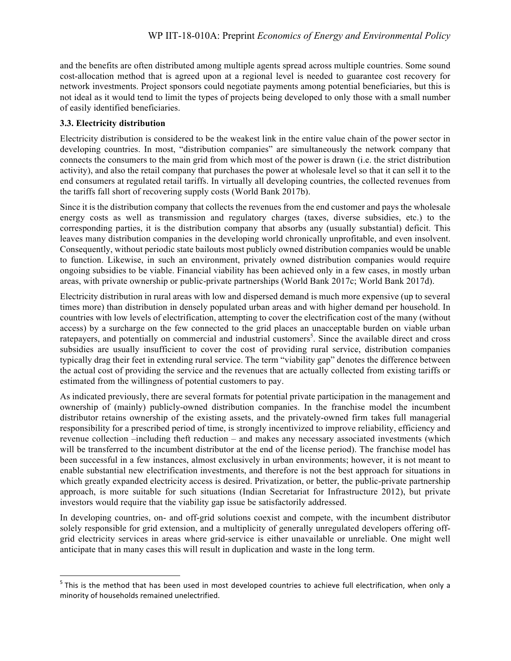and the benefits are often distributed among multiple agents spread across multiple countries. Some sound cost-allocation method that is agreed upon at a regional level is needed to guarantee cost recovery for network investments. Project sponsors could negotiate payments among potential beneficiaries, but this is not ideal as it would tend to limit the types of projects being developed to only those with a small number of easily identified beneficiaries.

## **3.3. Electricity distribution**

Electricity distribution is considered to be the weakest link in the entire value chain of the power sector in developing countries. In most, "distribution companies" are simultaneously the network company that connects the consumers to the main grid from which most of the power is drawn (i.e. the strict distribution activity), and also the retail company that purchases the power at wholesale level so that it can sell it to the end consumers at regulated retail tariffs. In virtually all developing countries, the collected revenues from the tariffs fall short of recovering supply costs (World Bank 2017b).

Since it is the distribution company that collects the revenues from the end customer and pays the wholesale energy costs as well as transmission and regulatory charges (taxes, diverse subsidies, etc.) to the corresponding parties, it is the distribution company that absorbs any (usually substantial) deficit. This leaves many distribution companies in the developing world chronically unprofitable, and even insolvent. Consequently, without periodic state bailouts most publicly owned distribution companies would be unable to function. Likewise, in such an environment, privately owned distribution companies would require ongoing subsidies to be viable. Financial viability has been achieved only in a few cases, in mostly urban areas, with private ownership or public-private partnerships (World Bank 2017c; World Bank 2017d).

Electricity distribution in rural areas with low and dispersed demand is much more expensive (up to several times more) than distribution in densely populated urban areas and with higher demand per household. In countries with low levels of electrification, attempting to cover the electrification cost of the many (without access) by a surcharge on the few connected to the grid places an unacceptable burden on viable urban ratepayers, and potentially on commercial and industrial customers<sup>5</sup>. Since the available direct and cross subsidies are usually insufficient to cover the cost of providing rural service, distribution companies typically drag their feet in extending rural service. The term "viability gap" denotes the difference between the actual cost of providing the service and the revenues that are actually collected from existing tariffs or estimated from the willingness of potential customers to pay.

As indicated previously, there are several formats for potential private participation in the management and ownership of (mainly) publicly-owned distribution companies. In the franchise model the incumbent distributor retains ownership of the existing assets, and the privately-owned firm takes full managerial responsibility for a prescribed period of time, is strongly incentivized to improve reliability, efficiency and revenue collection –including theft reduction – and makes any necessary associated investments (which will be transferred to the incumbent distributor at the end of the license period). The franchise model has been successful in a few instances, almost exclusively in urban environments; however, it is not meant to enable substantial new electrification investments, and therefore is not the best approach for situations in which greatly expanded electricity access is desired. Privatization, or better, the public-private partnership approach, is more suitable for such situations (Indian Secretariat for Infrastructure 2012), but private investors would require that the viability gap issue be satisfactorily addressed.

In developing countries, on- and off-grid solutions coexist and compete, with the incumbent distributor solely responsible for grid extension, and a multiplicity of generally unregulated developers offering offgrid electricity services in areas where grid-service is either unavailable or unreliable. One might well anticipate that in many cases this will result in duplication and waste in the long term.

 $5$  This is the method that has been used in most developed countries to achieve full electrification, when only a minority of households remained unelectrified.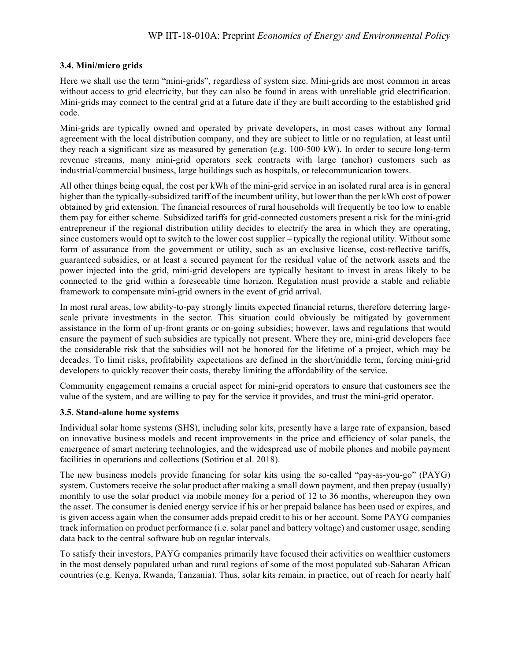## **3.4. Mini/micro grids**

Here we shall use the term "mini-grids", regardless of system size. Mini-grids are most common in areas without access to grid electricity, but they can also be found in areas with unreliable grid electrification. Mini-grids may connect to the central grid at a future date if they are built according to the established grid code.

Mini-grids are typically owned and operated by private developers, in most cases without any formal agreement with the local distribution company, and they are subject to little or no regulation, at least until they reach a significant size as measured by generation (e.g. 100-500 kW). In order to secure long-term revenue streams, many mini-grid operators seek contracts with large (anchor) customers such as industrial/commercial business, large buildings such as hospitals, or telecommunication towers.

All other things being equal, the cost per kWh of the mini-grid service in an isolated rural area is in general higher than the typically-subsidized tariff of the incumbent utility, but lower than the per kWh cost of power obtained by grid extension. The financial resources of rural households will frequently be too low to enable them pay for either scheme. Subsidized tariffs for grid-connected customers present a risk for the mini-grid entrepreneur if the regional distribution utility decides to electrify the area in which they are operating, since customers would opt to switch to the lower cost supplier – typically the regional utility. Without some form of assurance from the government or utility, such as an exclusive license, cost-reflective tariffs, guaranteed subsidies, or at least a secured payment for the residual value of the network assets and the power injected into the grid, mini-grid developers are typically hesitant to invest in areas likely to be connected to the grid within a foreseeable time horizon. Regulation must provide a stable and reliable framework to compensate mini-grid owners in the event of grid arrival.

In most rural areas, low ability-to-pay strongly limits expected financial returns, therefore deterring largescale private investments in the sector. This situation could obviously be mitigated by government assistance in the form of up-front grants or on-going subsidies; however, laws and regulations that would ensure the payment of such subsidies are typically not present. Where they are, mini-grid developers face the considerable risk that the subsidies will not be honored for the lifetime of a project, which may be decades. To limit risks, profitability expectations are defined in the short/middle term, forcing mini-grid developers to quickly recover their costs, thereby limiting the affordability of the service.

Community engagement remains a crucial aspect for mini-grid operators to ensure that customers see the value of the system, and are willing to pay for the service it provides, and trust the mini-grid operator.

#### **3.5. Stand-alone home systems**

Individual solar home systems (SHS), including solar kits, presently have a large rate of expansion, based on innovative business models and recent improvements in the price and efficiency of solar panels, the emergence of smart metering technologies, and the widespread use of mobile phones and mobile payment facilities in operations and collections (Sotiriou et al. 2018).

The new business models provide financing for solar kits using the so-called "pay-as-you-go" (PAYG) system. Customers receive the solar product after making a small down payment, and then prepay (usually) monthly to use the solar product via mobile money for a period of 12 to 36 months, whereupon they own the asset. The consumer is denied energy service if his or her prepaid balance has been used or expires, and is given access again when the consumer adds prepaid credit to his or her account. Some PAYG companies track information on product performance (i.e. solar panel and battery voltage) and customer usage, sending data back to the central software hub on regular intervals.

To satisfy their investors, PAYG companies primarily have focused their activities on wealthier customers in the most densely populated urban and rural regions of some of the most populated sub-Saharan African countries (e.g. Kenya, Rwanda, Tanzania). Thus, solar kits remain, in practice, out of reach for nearly half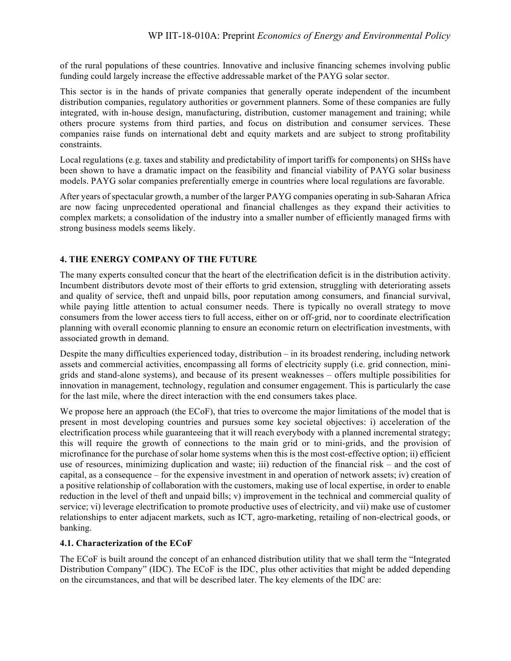of the rural populations of these countries. Innovative and inclusive financing schemes involving public funding could largely increase the effective addressable market of the PAYG solar sector.

This sector is in the hands of private companies that generally operate independent of the incumbent distribution companies, regulatory authorities or government planners. Some of these companies are fully integrated, with in-house design, manufacturing, distribution, customer management and training; while others procure systems from third parties, and focus on distribution and consumer services. These companies raise funds on international debt and equity markets and are subject to strong profitability constraints.

Local regulations (e.g. taxes and stability and predictability of import tariffs for components) on SHSs have been shown to have a dramatic impact on the feasibility and financial viability of PAYG solar business models. PAYG solar companies preferentially emerge in countries where local regulations are favorable.

After years of spectacular growth, a number of the larger PAYG companies operating in sub-Saharan Africa are now facing unprecedented operational and financial challenges as they expand their activities to complex markets; a consolidation of the industry into a smaller number of efficiently managed firms with strong business models seems likely.

# **4. THE ENERGY COMPANY OF THE FUTURE**

The many experts consulted concur that the heart of the electrification deficit is in the distribution activity. Incumbent distributors devote most of their efforts to grid extension, struggling with deteriorating assets and quality of service, theft and unpaid bills, poor reputation among consumers, and financial survival, while paying little attention to actual consumer needs. There is typically no overall strategy to move consumers from the lower access tiers to full access, either on or off-grid, nor to coordinate electrification planning with overall economic planning to ensure an economic return on electrification investments, with associated growth in demand.

Despite the many difficulties experienced today, distribution – in its broadest rendering, including network assets and commercial activities, encompassing all forms of electricity supply (i.e. grid connection, minigrids and stand-alone systems), and because of its present weaknesses – offers multiple possibilities for innovation in management, technology, regulation and consumer engagement. This is particularly the case for the last mile, where the direct interaction with the end consumers takes place.

We propose here an approach (the ECoF), that tries to overcome the major limitations of the model that is present in most developing countries and pursues some key societal objectives: i) acceleration of the electrification process while guaranteeing that it will reach everybody with a planned incremental strategy; this will require the growth of connections to the main grid or to mini-grids, and the provision of microfinance for the purchase of solar home systems when this is the most cost-effective option; ii) efficient use of resources, minimizing duplication and waste; iii) reduction of the financial risk – and the cost of capital, as a consequence – for the expensive investment in and operation of network assets; iv) creation of a positive relationship of collaboration with the customers, making use of local expertise, in order to enable reduction in the level of theft and unpaid bills; v) improvement in the technical and commercial quality of service; vi) leverage electrification to promote productive uses of electricity, and vii) make use of customer relationships to enter adjacent markets, such as ICT, agro-marketing, retailing of non-electrical goods, or banking.

#### **4.1. Characterization of the ECoF**

The ECoF is built around the concept of an enhanced distribution utility that we shall term the "Integrated Distribution Company" (IDC). The ECoF is the IDC, plus other activities that might be added depending on the circumstances, and that will be described later. The key elements of the IDC are: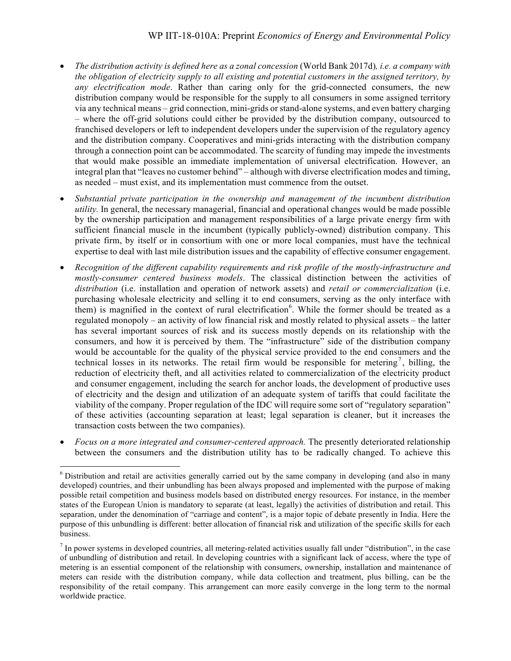# WP IIT-18-010A: Preprint *Economics of Energy and Environmental Policy*

- *The distribution activity is defined here as a zonal concession* (World Bank 2017d)*, i.e. a company with the obligation of electricity supply to all existing and potential customers in the assigned territory, by any electrification mode*. Rather than caring only for the grid-connected consumers, the new distribution company would be responsible for the supply to all consumers in some assigned territory via any technical means – grid connection, mini-grids or stand-alone systems, and even battery charging – where the off-grid solutions could either be provided by the distribution company, outsourced to franchised developers or left to independent developers under the supervision of the regulatory agency and the distribution company. Cooperatives and mini-grids interacting with the distribution company through a connection point can be accommodated. The scarcity of funding may impede the investments that would make possible an immediate implementation of universal electrification. However, an integral plan that "leaves no customer behind" – although with diverse electrification modes and timing, as needed – must exist, and its implementation must commence from the outset.
- *Substantial private participation in the ownership and management of the incumbent distribution utility.* In general, the necessary managerial, financial and operational changes would be made possible by the ownership participation and management responsibilities of a large private energy firm with sufficient financial muscle in the incumbent (typically publicly-owned) distribution company. This private firm, by itself or in consortium with one or more local companies, must have the technical expertise to deal with last mile distribution issues and the capability of effective consumer engagement.
- *Recognition of the different capability requirements and risk profile of the mostly-infrastructure and mostly-consumer centered business models*. The classical distinction between the activities of *distribution* (i.e. installation and operation of network assets) and *retail or commercialization* (i.e. purchasing wholesale electricity and selling it to end consumers, serving as the only interface with them) is magnified in the context of rural electrification<sup>6</sup>. While the former should be treated as a regulated monopoly – an activity of low financial risk and mostly related to physical assets – the latter has several important sources of risk and its success mostly depends on its relationship with the consumers, and how it is perceived by them. The "infrastructure" side of the distribution company would be accountable for the quality of the physical service provided to the end consumers and the technical losses in its networks. The retail firm would be responsible for metering<sup>7</sup>, billing, the reduction of electricity theft, and all activities related to commercialization of the electricity product and consumer engagement, including the search for anchor loads, the development of productive uses of electricity and the design and utilization of an adequate system of tariffs that could facilitate the viability of the company. Proper regulation of the IDC will require some sort of "regulatory separation" of these activities (accounting separation at least; legal separation is cleaner, but it increases the transaction costs between the two companies).
- *Focus on a more integrated and consumer-centered approach.* The presently deteriorated relationship between the consumers and the distribution utility has to be radically changed. To achieve this

 <sup>6</sup> Distribution and retail are activities generally carried out by the same company in developing (and also in many developed) countries, and their unbundling has been always proposed and implemented with the purpose of making possible retail competition and business models based on distributed energy resources. For instance, in the member states of the European Union is mandatory to separate (at least, legally) the activities of distribution and retail. This separation, under the denomination of "carriage and content", is a major topic of debate presently in India. Here the purpose of this unbundling is different: better allocation of financial risk and utilization of the specific skills for each business.

 $<sup>7</sup>$  In power systems in developed countries, all metering-related activities usually fall under "distribution", in the case</sup> of unbundling of distribution and retail. In developing countries with a significant lack of access, where the type of metering is an essential component of the relationship with consumers, ownership, installation and maintenance of meters can reside with the distribution company, while data collection and treatment, plus billing, can be the responsibility of the retail company. This arrangement can more easily converge in the long term to the normal worldwide practice.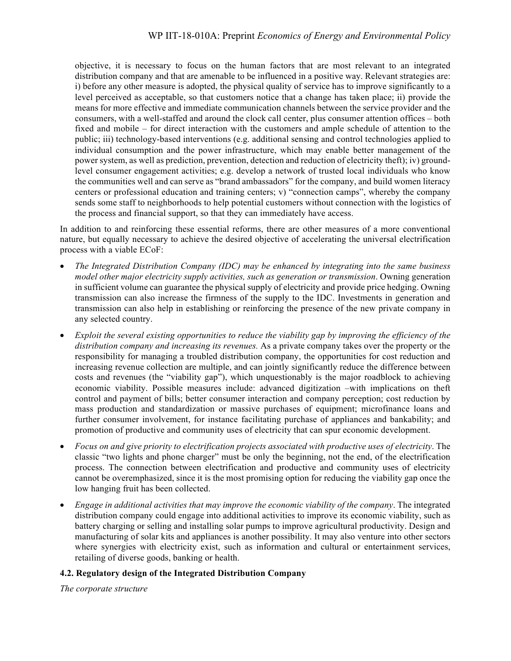objective, it is necessary to focus on the human factors that are most relevant to an integrated distribution company and that are amenable to be influenced in a positive way. Relevant strategies are: i) before any other measure is adopted, the physical quality of service has to improve significantly to a level perceived as acceptable, so that customers notice that a change has taken place; ii) provide the means for more effective and immediate communication channels between the service provider and the consumers, with a well-staffed and around the clock call center, plus consumer attention offices – both fixed and mobile – for direct interaction with the customers and ample schedule of attention to the public; iii) technology-based interventions (e.g. additional sensing and control technologies applied to individual consumption and the power infrastructure, which may enable better management of the power system, as well as prediction, prevention, detection and reduction of electricity theft); iv) groundlevel consumer engagement activities; e.g. develop a network of trusted local individuals who know the communities well and can serve as "brand ambassadors" for the company, and build women literacy centers or professional education and training centers; v) "connection camps", whereby the company sends some staff to neighborhoods to help potential customers without connection with the logistics of the process and financial support, so that they can immediately have access.

In addition to and reinforcing these essential reforms, there are other measures of a more conventional nature, but equally necessary to achieve the desired objective of accelerating the universal electrification process with a viable ECoF:

- *The Integrated Distribution Company (IDC) may be enhanced by integrating into the same business model other major electricity supply activities, such as generation or transmission*. Owning generation in sufficient volume can guarantee the physical supply of electricity and provide price hedging. Owning transmission can also increase the firmness of the supply to the IDC. Investments in generation and transmission can also help in establishing or reinforcing the presence of the new private company in any selected country.
- *Exploit the several existing opportunities to reduce the viability gap by improving the efficiency of the distribution company and increasing its revenues.* As a private company takes over the property or the responsibility for managing a troubled distribution company, the opportunities for cost reduction and increasing revenue collection are multiple, and can jointly significantly reduce the difference between costs and revenues (the "viability gap"), which unquestionably is the major roadblock to achieving economic viability. Possible measures include: advanced digitization –with implications on theft control and payment of bills; better consumer interaction and company perception; cost reduction by mass production and standardization or massive purchases of equipment; microfinance loans and further consumer involvement, for instance facilitating purchase of appliances and bankability; and promotion of productive and community uses of electricity that can spur economic development.
- *Focus on and give priority to electrification projects associated with productive uses of electricity*. The classic "two lights and phone charger" must be only the beginning, not the end, of the electrification process. The connection between electrification and productive and community uses of electricity cannot be overemphasized, since it is the most promising option for reducing the viability gap once the low hanging fruit has been collected.
- *Engage in additional activities that may improve the economic viability of the company*. The integrated distribution company could engage into additional activities to improve its economic viability, such as battery charging or selling and installing solar pumps to improve agricultural productivity. Design and manufacturing of solar kits and appliances is another possibility. It may also venture into other sectors where synergies with electricity exist, such as information and cultural or entertainment services, retailing of diverse goods, banking or health.

# **4.2. Regulatory design of the Integrated Distribution Company**

*The corporate structure*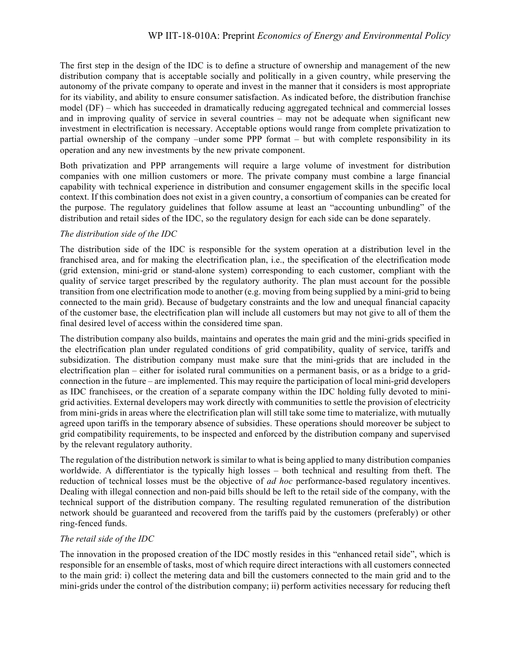The first step in the design of the IDC is to define a structure of ownership and management of the new distribution company that is acceptable socially and politically in a given country, while preserving the autonomy of the private company to operate and invest in the manner that it considers is most appropriate for its viability, and ability to ensure consumer satisfaction. As indicated before, the distribution franchise model (DF) – which has succeeded in dramatically reducing aggregated technical and commercial losses and in improving quality of service in several countries – may not be adequate when significant new investment in electrification is necessary. Acceptable options would range from complete privatization to partial ownership of the company –under some PPP format – but with complete responsibility in its operation and any new investments by the new private component.

Both privatization and PPP arrangements will require a large volume of investment for distribution companies with one million customers or more. The private company must combine a large financial capability with technical experience in distribution and consumer engagement skills in the specific local context. If this combination does not exist in a given country, a consortium of companies can be created for the purpose. The regulatory guidelines that follow assume at least an "accounting unbundling" of the distribution and retail sides of the IDC, so the regulatory design for each side can be done separately.

#### *The distribution side of the IDC*

The distribution side of the IDC is responsible for the system operation at a distribution level in the franchised area, and for making the electrification plan, i.e., the specification of the electrification mode (grid extension, mini-grid or stand-alone system) corresponding to each customer, compliant with the quality of service target prescribed by the regulatory authority. The plan must account for the possible transition from one electrification mode to another (e.g. moving from being supplied by a mini-grid to being connected to the main grid). Because of budgetary constraints and the low and unequal financial capacity of the customer base, the electrification plan will include all customers but may not give to all of them the final desired level of access within the considered time span.

The distribution company also builds, maintains and operates the main grid and the mini-grids specified in the electrification plan under regulated conditions of grid compatibility, quality of service, tariffs and subsidization. The distribution company must make sure that the mini-grids that are included in the electrification plan – either for isolated rural communities on a permanent basis, or as a bridge to a gridconnection in the future – are implemented. This may require the participation of local mini-grid developers as IDC franchisees, or the creation of a separate company within the IDC holding fully devoted to minigrid activities. External developers may work directly with communities to settle the provision of electricity from mini-grids in areas where the electrification plan will still take some time to materialize, with mutually agreed upon tariffs in the temporary absence of subsidies. These operations should moreover be subject to grid compatibility requirements, to be inspected and enforced by the distribution company and supervised by the relevant regulatory authority.

The regulation of the distribution network is similar to what is being applied to many distribution companies worldwide. A differentiator is the typically high losses – both technical and resulting from theft. The reduction of technical losses must be the objective of *ad hoc* performance-based regulatory incentives. Dealing with illegal connection and non-paid bills should be left to the retail side of the company, with the technical support of the distribution company. The resulting regulated remuneration of the distribution network should be guaranteed and recovered from the tariffs paid by the customers (preferably) or other ring-fenced funds.

# *The retail side of the IDC*

The innovation in the proposed creation of the IDC mostly resides in this "enhanced retail side", which is responsible for an ensemble of tasks, most of which require direct interactions with all customers connected to the main grid: i) collect the metering data and bill the customers connected to the main grid and to the mini-grids under the control of the distribution company; ii) perform activities necessary for reducing theft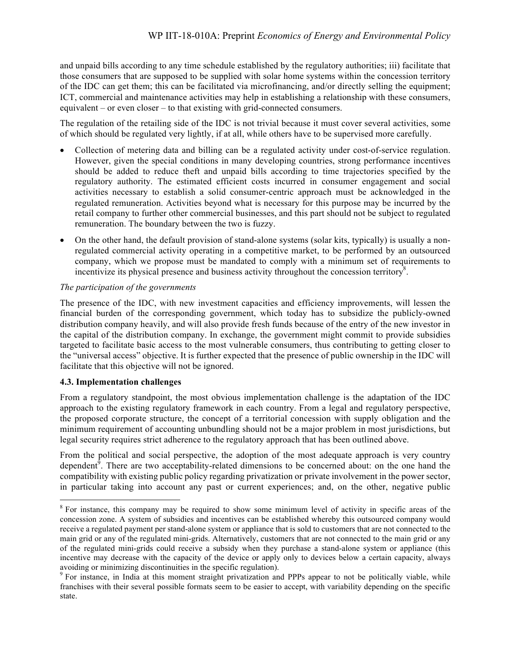and unpaid bills according to any time schedule established by the regulatory authorities; iii) facilitate that those consumers that are supposed to be supplied with solar home systems within the concession territory of the IDC can get them; this can be facilitated via microfinancing, and/or directly selling the equipment; ICT, commercial and maintenance activities may help in establishing a relationship with these consumers, equivalent – or even closer – to that existing with grid-connected consumers.

The regulation of the retailing side of the IDC is not trivial because it must cover several activities, some of which should be regulated very lightly, if at all, while others have to be supervised more carefully.

- Collection of metering data and billing can be a regulated activity under cost-of-service regulation. However, given the special conditions in many developing countries, strong performance incentives should be added to reduce theft and unpaid bills according to time trajectories specified by the regulatory authority. The estimated efficient costs incurred in consumer engagement and social activities necessary to establish a solid consumer-centric approach must be acknowledged in the regulated remuneration. Activities beyond what is necessary for this purpose may be incurred by the retail company to further other commercial businesses, and this part should not be subject to regulated remuneration. The boundary between the two is fuzzy.
- On the other hand, the default provision of stand-alone systems (solar kits, typically) is usually a nonregulated commercial activity operating in a competitive market, to be performed by an outsourced company, which we propose must be mandated to comply with a minimum set of requirements to incentivize its physical presence and business activity throughout the concession territory $\delta$ .

# *The participation of the governments*

The presence of the IDC, with new investment capacities and efficiency improvements, will lessen the financial burden of the corresponding government, which today has to subsidize the publicly-owned distribution company heavily, and will also provide fresh funds because of the entry of the new investor in the capital of the distribution company. In exchange, the government might commit to provide subsidies targeted to facilitate basic access to the most vulnerable consumers, thus contributing to getting closer to the "universal access" objective. It is further expected that the presence of public ownership in the IDC will facilitate that this objective will not be ignored.

# **4.3. Implementation challenges**

From a regulatory standpoint, the most obvious implementation challenge is the adaptation of the IDC approach to the existing regulatory framework in each country. From a legal and regulatory perspective, the proposed corporate structure, the concept of a territorial concession with supply obligation and the minimum requirement of accounting unbundling should not be a major problem in most jurisdictions, but legal security requires strict adherence to the regulatory approach that has been outlined above.

From the political and social perspective, the adoption of the most adequate approach is very country dependent<sup>9</sup>. There are two acceptability-related dimensions to be concerned about: on the one hand the compatibility with existing public policy regarding privatization or private involvement in the power sector, in particular taking into account any past or current experiences; and, on the other, negative public

<sup>&</sup>lt;sup>8</sup> For instance, this company may be required to show some minimum level of activity in specific areas of the concession zone. A system of subsidies and incentives can be established whereby this outsourced company would receive a regulated payment per stand-alone system or appliance that is sold to customers that are not connected to the main grid or any of the regulated mini-grids. Alternatively, customers that are not connected to the main grid or any of the regulated mini-grids could receive a subsidy when they purchase a stand-alone system or appliance (this incentive may decrease with the capacity of the device or apply only to devices below a certain capacity, always

avoiding or minimizing discontinuities in the specific regulation). <sup>9</sup> For instance, in India at this moment straight privatization and PPPs appear to not be politically viable, while franchises with their several possible formats seem to be easier to accept, with variability depending on the specific state.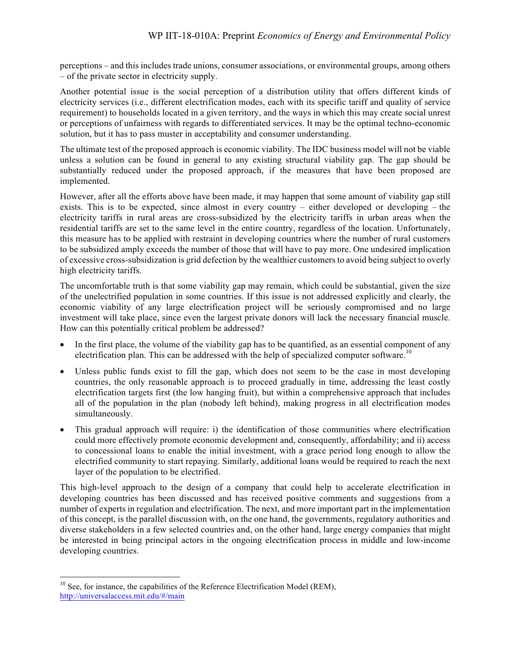perceptions – and this includes trade unions, consumer associations, or environmental groups, among others – of the private sector in electricity supply.

Another potential issue is the social perception of a distribution utility that offers different kinds of electricity services (i.e., different electrification modes, each with its specific tariff and quality of service requirement) to households located in a given territory, and the ways in which this may create social unrest or perceptions of unfairness with regards to differentiated services. It may be the optimal techno-economic solution, but it has to pass muster in acceptability and consumer understanding.

The ultimate test of the proposed approach is economic viability. The IDC business model will not be viable unless a solution can be found in general to any existing structural viability gap. The gap should be substantially reduced under the proposed approach, if the measures that have been proposed are implemented.

However, after all the efforts above have been made, it may happen that some amount of viability gap still exists. This is to be expected, since almost in every country – either developed or developing – the electricity tariffs in rural areas are cross-subsidized by the electricity tariffs in urban areas when the residential tariffs are set to the same level in the entire country, regardless of the location. Unfortunately, this measure has to be applied with restraint in developing countries where the number of rural customers to be subsidized amply exceeds the number of those that will have to pay more. One undesired implication of excessive cross-subsidization is grid defection by the wealthier customers to avoid being subject to overly high electricity tariffs.

The uncomfortable truth is that some viability gap may remain, which could be substantial, given the size of the unelectrified population in some countries. If this issue is not addressed explicitly and clearly, the economic viability of any large electrification project will be seriously compromised and no large investment will take place, since even the largest private donors will lack the necessary financial muscle. How can this potentially critical problem be addressed?

- In the first place, the volume of the viability gap has to be quantified, as an essential component of any electrification plan. This can be addressed with the help of specialized computer software.<sup>10</sup>
- Unless public funds exist to fill the gap, which does not seem to be the case in most developing countries, the only reasonable approach is to proceed gradually in time, addressing the least costly electrification targets first (the low hanging fruit), but within a comprehensive approach that includes all of the population in the plan (nobody left behind), making progress in all electrification modes simultaneously.
- This gradual approach will require: i) the identification of those communities where electrification could more effectively promote economic development and, consequently, affordability; and ii) access to concessional loans to enable the initial investment, with a grace period long enough to allow the electrified community to start repaying. Similarly, additional loans would be required to reach the next layer of the population to be electrified.

This high-level approach to the design of a company that could help to accelerate electrification in developing countries has been discussed and has received positive comments and suggestions from a number of experts in regulation and electrification. The next, and more important part in the implementation of this concept, is the parallel discussion with, on the one hand, the governments, regulatory authorities and diverse stakeholders in a few selected countries and, on the other hand, large energy companies that might be interested in being principal actors in the ongoing electrification process in middle and low-income developing countries.

 $10$  See, for instance, the capabilities of the Reference Electrification Model (REM), http://universalaccess.mit.edu/#/main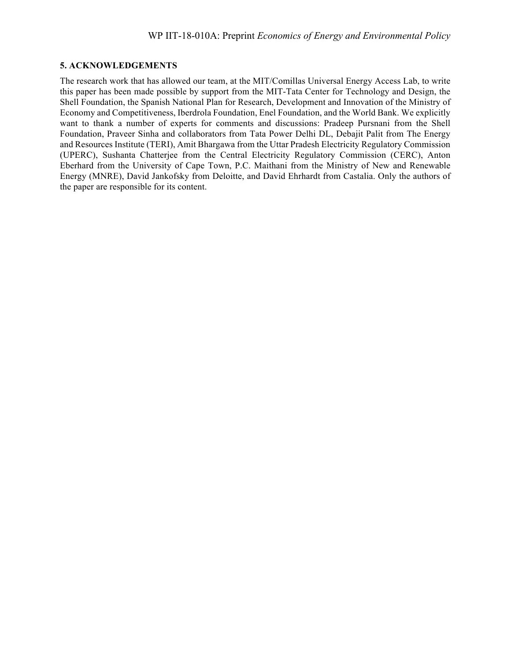#### **5. ACKNOWLEDGEMENTS**

The research work that has allowed our team, at the MIT/Comillas Universal Energy Access Lab, to write this paper has been made possible by support from the MIT-Tata Center for Technology and Design, the Shell Foundation, the Spanish National Plan for Research, Development and Innovation of the Ministry of Economy and Competitiveness, Iberdrola Foundation, Enel Foundation, and the World Bank. We explicitly want to thank a number of experts for comments and discussions: Pradeep Pursnani from the Shell Foundation, Praveer Sinha and collaborators from Tata Power Delhi DL, Debajit Palit from The Energy and Resources Institute (TERI), Amit Bhargawa from the Uttar Pradesh Electricity Regulatory Commission (UPERC), Sushanta Chatterjee from the Central Electricity Regulatory Commission (CERC), Anton Eberhard from the University of Cape Town, P.C. Maithani from the Ministry of New and Renewable Energy (MNRE), David Jankofsky from Deloitte, and David Ehrhardt from Castalia. Only the authors of the paper are responsible for its content.